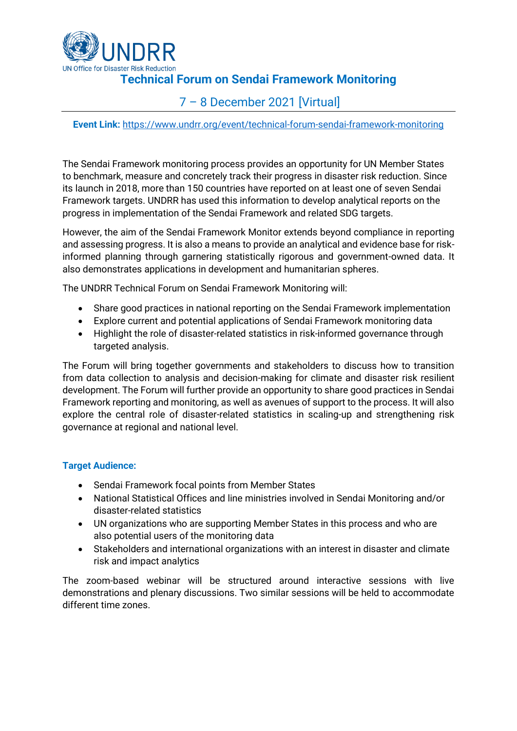

# **Technical Forum on Sendai Framework Monitoring**

# 7 – 8 December 2021 [Virtual]

**Event Link:** <https://www.undrr.org/event/technical-forum-sendai-framework-monitoring>

The Sendai Framework monitoring process provides an opportunity for UN Member States to benchmark, measure and concretely track their progress in disaster risk reduction. Since its launch in 2018, more than 150 countries have reported on at least one of seven Sendai Framework targets. UNDRR has used this information to develop analytical reports on the progress in implementation of the Sendai Framework and related SDG targets.

However, the aim of the Sendai Framework Monitor extends beyond compliance in reporting and assessing progress. It is also a means to provide an analytical and evidence base for riskinformed planning through garnering statistically rigorous and government-owned data. It also demonstrates applications in development and humanitarian spheres.

The UNDRR Technical Forum on Sendai Framework Monitoring will:

- Share good practices in national reporting on the Sendai Framework implementation
- Explore current and potential applications of Sendai Framework monitoring data
- Highlight the role of disaster-related statistics in risk-informed governance through targeted analysis.

The Forum will bring together governments and stakeholders to discuss how to transition from data collection to analysis and decision-making for climate and disaster risk resilient development. The Forum will further provide an opportunity to share good practices in Sendai Framework reporting and monitoring, as well as avenues of support to the process. It will also explore the central role of disaster-related statistics in scaling-up and strengthening risk governance at regional and national level.

#### **Target Audience:**

- Sendai Framework focal points from Member States
- National Statistical Offices and line ministries involved in Sendai Monitoring and/or disaster-related statistics
- UN organizations who are supporting Member States in this process and who are also potential users of the monitoring data
- Stakeholders and international organizations with an interest in disaster and climate risk and impact analytics

The zoom-based webinar will be structured around interactive sessions with live demonstrations and plenary discussions. Two similar sessions will be held to accommodate different time zones.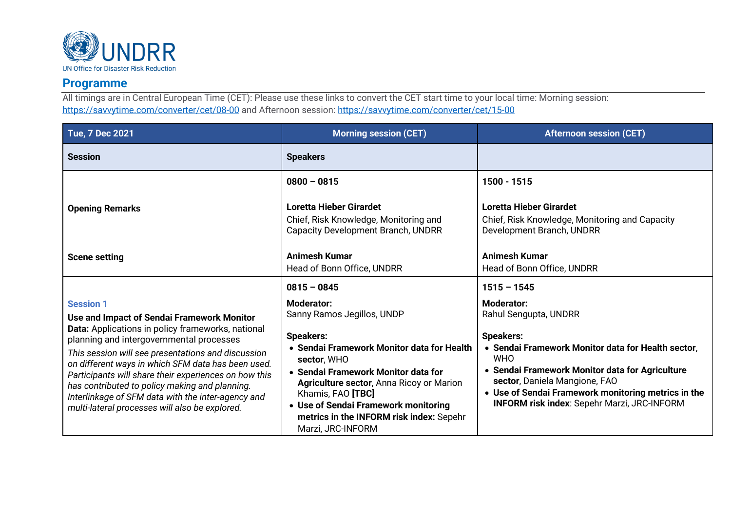

### **Programme**

All timings are in Central European Time (CET): Please use these links to convert the CET start time to your local time: Morning session: <https://savvytime.com/converter/cet/08-00> and Afternoon session:<https://savvytime.com/converter/cet/15-00>

| <b>Tue, 7 Dec 2021</b>                                                                                                                                                                                                                                                                                                                                                                                                                                                                         | <b>Morning session (CET)</b>                                                                                                                                                                                                                                                                                                                             | <b>Afternoon session (CET)</b>                                                                                                                                                                                                                                                                                                      |
|------------------------------------------------------------------------------------------------------------------------------------------------------------------------------------------------------------------------------------------------------------------------------------------------------------------------------------------------------------------------------------------------------------------------------------------------------------------------------------------------|----------------------------------------------------------------------------------------------------------------------------------------------------------------------------------------------------------------------------------------------------------------------------------------------------------------------------------------------------------|-------------------------------------------------------------------------------------------------------------------------------------------------------------------------------------------------------------------------------------------------------------------------------------------------------------------------------------|
| <b>Session</b>                                                                                                                                                                                                                                                                                                                                                                                                                                                                                 | <b>Speakers</b>                                                                                                                                                                                                                                                                                                                                          |                                                                                                                                                                                                                                                                                                                                     |
| <b>Opening Remarks</b>                                                                                                                                                                                                                                                                                                                                                                                                                                                                         | $0800 - 0815$<br>Loretta Hieber Girardet<br>Chief, Risk Knowledge, Monitoring and<br>Capacity Development Branch, UNDRR                                                                                                                                                                                                                                  | 1500 - 1515<br>Loretta Hieber Girardet<br>Chief, Risk Knowledge, Monitoring and Capacity<br>Development Branch, UNDRR                                                                                                                                                                                                               |
| <b>Scene setting</b>                                                                                                                                                                                                                                                                                                                                                                                                                                                                           | <b>Animesh Kumar</b><br>Head of Bonn Office, UNDRR                                                                                                                                                                                                                                                                                                       | Animesh Kumar<br>Head of Bonn Office, UNDRR                                                                                                                                                                                                                                                                                         |
|                                                                                                                                                                                                                                                                                                                                                                                                                                                                                                | $0815 - 0845$                                                                                                                                                                                                                                                                                                                                            | $1515 - 1545$                                                                                                                                                                                                                                                                                                                       |
| <b>Session 1</b><br>Use and Impact of Sendai Framework Monitor<br>Data: Applications in policy frameworks, national<br>planning and intergovernmental processes<br>This session will see presentations and discussion<br>on different ways in which SFM data has been used.<br>Participants will share their experiences on how this<br>has contributed to policy making and planning.<br>Interlinkage of SFM data with the inter-agency and<br>multi-lateral processes will also be explored. | <b>Moderator:</b><br>Sanny Ramos Jegillos, UNDP<br><b>Speakers:</b><br>• Sendai Framework Monitor data for Health<br>sector, WHO<br>• Sendai Framework Monitor data for<br><b>Agriculture sector, Anna Ricoy or Marion</b><br>Khamis, FAO [TBC]<br>• Use of Sendai Framework monitoring<br>metrics in the INFORM risk index: Sepehr<br>Marzi, JRC-INFORM | <b>Moderator:</b><br>Rahul Sengupta, UNDRR<br><b>Speakers:</b><br>• Sendai Framework Monitor data for Health sector.<br><b>WHO</b><br>• Sendai Framework Monitor data for Agriculture<br>sector, Daniela Mangione, FAO<br>• Use of Sendai Framework monitoring metrics in the<br><b>INFORM risk index: Sepehr Marzi, JRC-INFORM</b> |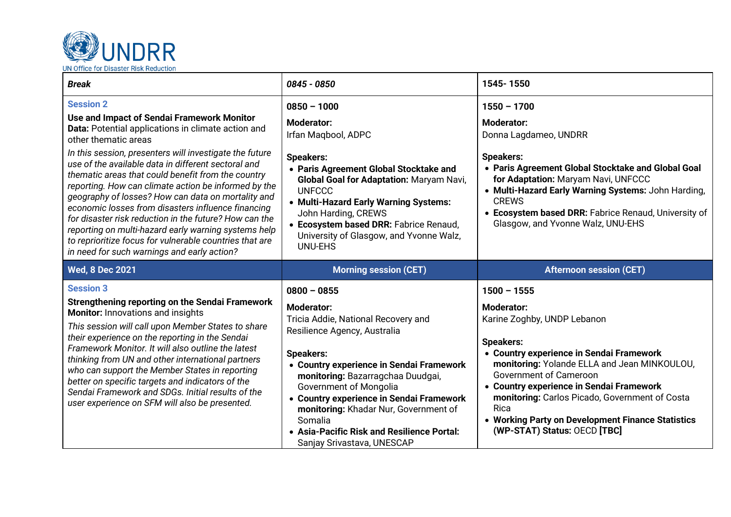

| <b>Break</b>                                                                                                                                                                                                                                                                                                                                                                                                                                                                                                                                                                                                                                                                                                         | 0845 - 0850                                                                                                                                                                                                                                                                                                                                                 | 1545-1550                                                                                                                                                                                                                                                                                                                                                                     |
|----------------------------------------------------------------------------------------------------------------------------------------------------------------------------------------------------------------------------------------------------------------------------------------------------------------------------------------------------------------------------------------------------------------------------------------------------------------------------------------------------------------------------------------------------------------------------------------------------------------------------------------------------------------------------------------------------------------------|-------------------------------------------------------------------------------------------------------------------------------------------------------------------------------------------------------------------------------------------------------------------------------------------------------------------------------------------------------------|-------------------------------------------------------------------------------------------------------------------------------------------------------------------------------------------------------------------------------------------------------------------------------------------------------------------------------------------------------------------------------|
| <b>Session 2</b><br>Use and Impact of Sendai Framework Monitor<br>Data: Potential applications in climate action and<br>other thematic areas<br>In this session, presenters will investigate the future<br>use of the available data in different sectoral and<br>thematic areas that could benefit from the country<br>reporting. How can climate action be informed by the<br>geography of losses? How can data on mortality and<br>economic losses from disasters influence financing<br>for disaster risk reduction in the future? How can the<br>reporting on multi-hazard early warning systems help<br>to reprioritize focus for vulnerable countries that are<br>in need for such warnings and early action? | $0850 - 1000$<br><b>Moderator:</b><br>Irfan Maqbool, ADPC<br><b>Speakers:</b><br>• Paris Agreement Global Stocktake and<br>Global Goal for Adaptation: Maryam Navi,<br><b>UNFCCC</b><br>• Multi-Hazard Early Warning Systems:<br>John Harding, CREWS<br>• Ecosystem based DRR: Fabrice Renaud,<br>University of Glasgow, and Yvonne Walz,<br><b>UNU-EHS</b> | $1550 - 1700$<br><b>Moderator:</b><br>Donna Lagdameo, UNDRR<br><b>Speakers:</b><br>• Paris Agreement Global Stocktake and Global Goal<br>for Adaptation: Maryam Navi, UNFCCC<br>• Multi-Hazard Early Warning Systems: John Harding,<br><b>CREWS</b><br>• Ecosystem based DRR: Fabrice Renaud, University of<br>Glasgow, and Yvonne Walz, UNU-EHS                              |
| <b>Wed, 8 Dec 2021</b>                                                                                                                                                                                                                                                                                                                                                                                                                                                                                                                                                                                                                                                                                               | <b>Morning session (CET)</b>                                                                                                                                                                                                                                                                                                                                | <b>Afternoon session (CET)</b>                                                                                                                                                                                                                                                                                                                                                |
| <b>Session 3</b><br><b>Strengthening reporting on the Sendai Framework</b><br><b>Monitor:</b> Innovations and insights<br>This session will call upon Member States to share<br>their experience on the reporting in the Sendai<br>Framework Monitor. It will also outline the latest<br>thinking from UN and other international partners<br>who can support the Member States in reporting<br>better on specific targets and indicators of the<br>Sendai Framework and SDGs. Initial results of the<br>user experience on SFM will also be presented.                                                                                                                                                              | $0800 - 0855$<br><b>Moderator:</b><br>Tricia Addie, National Recovery and<br>Resilience Agency, Australia<br><b>Speakers:</b><br>• Country experience in Sendai Framework<br>monitoring: Bazarragchaa Duudgai,<br>Government of Mongolia<br>• Country experience in Sendai Framework<br>monitoring: Khadar Nur, Government of<br>Somalia                    | $1500 - 1555$<br><b>Moderator:</b><br>Karine Zoghby, UNDP Lebanon<br><b>Speakers:</b><br>• Country experience in Sendai Framework<br>monitoring: Yolande ELLA and Jean MINKOULOU,<br><b>Government of Cameroon</b><br>• Country experience in Sendai Framework<br>monitoring: Carlos Picado, Government of Costa<br>Rica<br>• Working Party on Development Finance Statistics |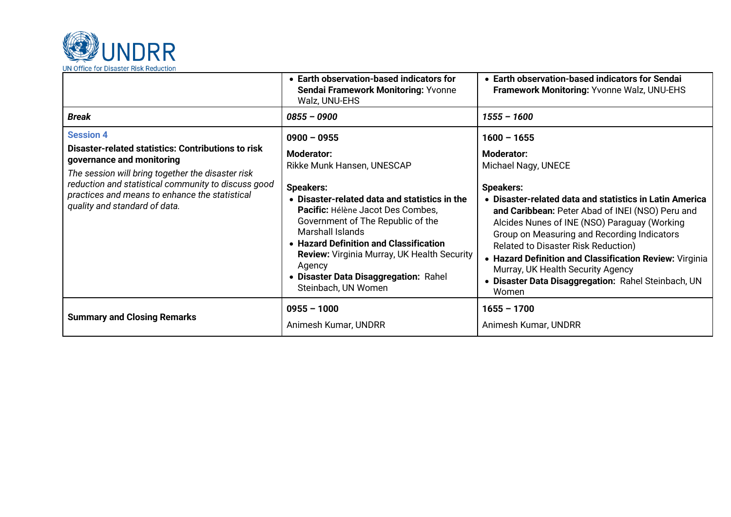

|                                                                                                                                                                                                                                                                                                           | • Earth observation-based indicators for<br>Sendai Framework Monitoring: Yvonne<br>Walz, UNU-EHS                                                                                                                                                                                                                                                                                                                     | • Earth observation-based indicators for Sendai<br>Framework Monitoring: Yvonne Walz, UNU-EHS                                                                                                                                                                                                                                                                                                                                                                                                             |  |
|-----------------------------------------------------------------------------------------------------------------------------------------------------------------------------------------------------------------------------------------------------------------------------------------------------------|----------------------------------------------------------------------------------------------------------------------------------------------------------------------------------------------------------------------------------------------------------------------------------------------------------------------------------------------------------------------------------------------------------------------|-----------------------------------------------------------------------------------------------------------------------------------------------------------------------------------------------------------------------------------------------------------------------------------------------------------------------------------------------------------------------------------------------------------------------------------------------------------------------------------------------------------|--|
| <b>Break</b>                                                                                                                                                                                                                                                                                              | $0855 - 0900$                                                                                                                                                                                                                                                                                                                                                                                                        | $1555 - 1600$                                                                                                                                                                                                                                                                                                                                                                                                                                                                                             |  |
| <b>Session 4</b><br><b>Disaster-related statistics: Contributions to risk</b><br>governance and monitoring<br>The session will bring together the disaster risk<br>reduction and statistical community to discuss good<br>practices and means to enhance the statistical<br>quality and standard of data. | $0900 - 0955$<br><b>Moderator:</b><br>Rikke Munk Hansen, UNESCAP<br><b>Speakers:</b><br>• Disaster-related data and statistics in the<br><b>Pacific:</b> Hélène Jacot Des Combes,<br>Government of The Republic of the<br>Marshall Islands<br>• Hazard Definition and Classification<br><b>Review:</b> Virginia Murray, UK Health Security<br>Agency<br>• Disaster Data Disaggregation: Rahel<br>Steinbach, UN Women | $1600 - 1655$<br><b>Moderator:</b><br>Michael Nagy, UNECE<br><b>Speakers:</b><br>• Disaster-related data and statistics in Latin America<br>and Caribbean: Peter Abad of INEI (NSO) Peru and<br>Alcides Nunes of INE (NSO) Paraguay (Working<br>Group on Measuring and Recording Indicators<br><b>Related to Disaster Risk Reduction)</b><br>• Hazard Definition and Classification Review: Virginia<br>Murray, UK Health Security Agency<br>• Disaster Data Disaggregation: Rahel Steinbach, UN<br>Women |  |
| <b>Summary and Closing Remarks</b>                                                                                                                                                                                                                                                                        | $0955 - 1000$<br>Animesh Kumar, UNDRR                                                                                                                                                                                                                                                                                                                                                                                | $1655 - 1700$<br>Animesh Kumar, UNDRR                                                                                                                                                                                                                                                                                                                                                                                                                                                                     |  |